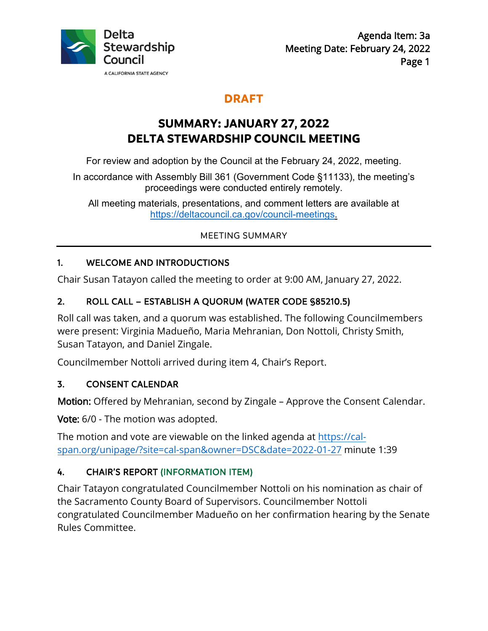

# **DRAFT**

# **SUMMARY: JANUARY 27, 2022 DELTA STEWARDSHIP COUNCIL MEETING**

For review and adoption by the Council at the February 24, 2022, meeting.

In accordance with Assembly Bill 361 (Government Code §11133), the meeting's proceedings were conducted entirely remotely.

All meeting materials, presentations, and comment letters are available at<br><https://deltacouncil.ca.gov/council-meetings>.

#### MEETING SUMMARY

## 1. WELCOME AND INTRODUCTIONS

Chair Susan Tatayon called the meeting to order at 9:00 AM, January 27, 2022.

## 2. ROLL CALL – ESTABLISH A QUORUM (WATER CODE §85210.5)

 Susan Tatayon, and Daniel Zingale. Roll call was taken, and a quorum was established. The following Councilmembers were present: Virginia Madueño, Maria Mehranian, Don Nottoli, Christy Smith,

Councilmember Nottoli arrived during item 4, Chair's Report.

#### 3. CONSENT CALENDAR

Motion: Offered by Mehranian, second by Zingale - Approve the Consent Calendar.

**Vote:** 6/0 - The motion was adopted.

The motion and vote are viewable on the linked agenda at <https://cal>span.org/unipage/?site=cal-span&owner=DSC&date=2022-01-27 minute 1:39

## 4. CHAIR'S REPORT (INFORMATION ITEM)

 congratulated Councilmember Madueño on her confirmation hearing by the Senate Chair Tatayon congratulated Councilmember Nottoli on his nomination as chair of the Sacramento County Board of Supervisors. Councilmember Nottoli Rules Committee.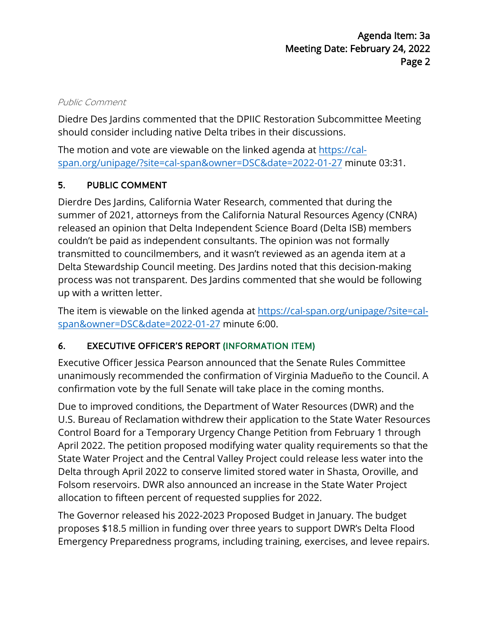#### Public Comment

 should consider including native Delta tribes in their discussions. Diedre Des Jardins commented that the DPIIC Restoration Subcommittee Meeting

The motion and vote are viewable on the linked agenda at <https://cal>span.org/unipage/?site=cal-span&owner=DSC&date=2022-01-27 minute 03:31.

## 5. PUBLIC COMMENT

 Delta Stewardship Council meeting. Des Jardins noted that this decision-making Dierdre Des Jardins, California Water Research, commented that during the summer of 2021, attorneys from the California Natural Resources Agency (CNRA) released an opinion that Delta Independent Science Board (Delta ISB) members couldn't be paid as independent consultants. The opinion was not formally transmitted to councilmembers, and it wasn't reviewed as an agenda item at a process was not transparent. Des Jardins commented that she would be following up with a written letter.

The item is viewable on the linked agenda at<https://cal-span.org/unipage/?site=cal>span&owner=DSC&date=2022-01-27 minute 6:00.

#### 6. EXECUTIVE OFFICER'S REPORT (INFORMATION ITEM)

 Executive Officer Jessica Pearson announced that the Senate Rules Committee confirmation vote by the full Senate will take place in the coming months. unanimously recommended the confirmation of Virginia Madueño to the Council. A

 Due to improved conditions, the Department of Water Resources (DWR) and the Folsom reservoirs. DWR also announced an increase in the State Water Project U.S. Bureau of Reclamation withdrew their application to the State Water Resources Control Board for a Temporary Urgency Change Petition from February 1 through April 2022. The petition proposed modifying water quality requirements so that the State Water Project and the Central Valley Project could release less water into the Delta through April 2022 to conserve limited stored water in Shasta, Oroville, and allocation to fifteen percent of requested supplies for 2022.

The Governor released his 2022-2023 Proposed Budget in January. The budget proposes \$18.5 million in funding over three years to support DWR's Delta Flood Emergency Preparedness programs, including training, exercises, and levee repairs.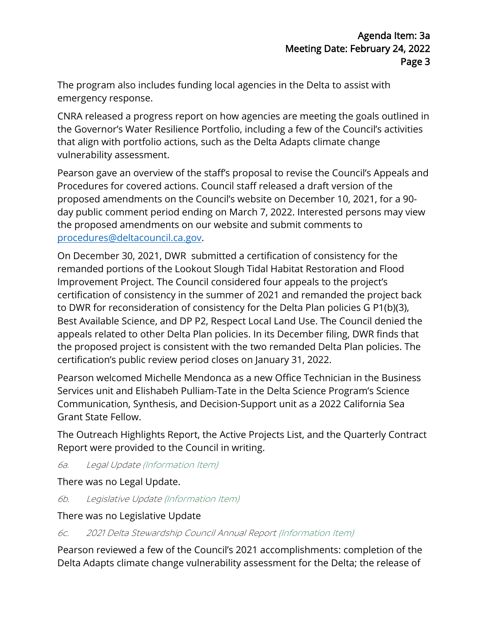The program also includes funding local agencies in the Delta to assist with emergency response.

CNRA released a progress report on how agencies are meeting the goals outlined in the Governor's Water Resilience Portfolio, including a few of the Council's activities that align with portfolio actions, such as the Delta Adapts climate change vulnerability assessment.

Pearson gave an overview of the staff's proposal to revise the Council's Appeals and Procedures for covered actions. Council staff released a draft version of the proposed amendments on the Council's website on December 10, 2021, for a 90 day public comment period ending on March 7, 2022. Interested persons may view the proposed amendments on our website and submit comments to [procedures@deltacouncil.ca.gov.](mailto:procedures@deltacouncil.ca.gov)

 appeals related to other Delta Plan policies. In its December filing, DWR finds that the proposed project is consistent with the two remanded Delta Plan policies. The certification's public review period closes on January 31, 2022. On December 30, 2021, DWR submitted a certification of consistency for the remanded portions of the Lookout Slough Tidal Habitat Restoration and Flood Improvement Project. The Council considered four appeals to the project's certification of consistency in the summer of 2021 and remanded the project back to DWR for reconsideration of consistency for the Delta Plan policies G P1(b)(3), Best Available Science, and DP P2, Respect Local Land Use. The Council denied the

 Pearson welcomed Michelle Mendonca as a new Office Technician in the Business Services unit and Elishabeh Pulliam-Tate in the Delta Science Program's Science Communication, Synthesis, and Decision-Support unit as a 2022 California Sea Grant State Fellow.

The Outreach Highlights Report, the Active Projects List, and the Quarterly Contract Report were provided to the Council in writing.

6a. Legal Update (Information Item)

There was no Legal Update.

6b. Legislative Update (Information Item)

There was no Legislative Update

6c. 2021 Delta Stewardship Council Annual Report (Information Item)

 Delta Adapts climate change vulnerability assessment for the Delta; the release of Pearson reviewed a few of the Council's 2021 accomplishments: completion of the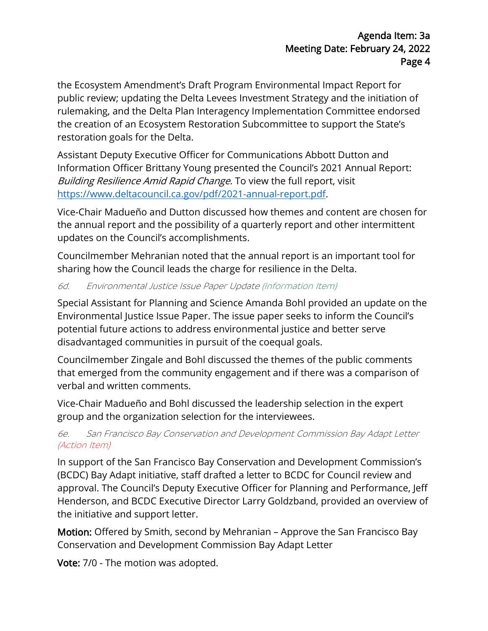the Ecosystem Amendment's Draft Program Environmental Impact Report for public review; updating the Delta Levees Investment Strategy and the initiation of rulemaking, and the Delta Plan Interagency Implementation Committee endorsed the creation of an Ecosystem Restoration Subcommittee to support the State's restoration goals for the Delta.

 Information Officer Brittany Young presented the Council's 2021 Annual Report: *Building Resilience Amid Rapid Change.* To view the full report, visit https://www.deltacouncil.ca.gov/pdf/2021-annual-report.pdf. Assistant Deputy Executive Officer for Communications Abbott Dutton and

 the annual report and the possibility of a quarterly report and other intermittent Vice-Chair Madueño and Dutton discussed how themes and content are chosen for updates on the Council's accomplishments.

 Councilmember Mehranian noted that the annual report is an important tool for sharing how the Council leads the charge for resilience in the Delta.

#### 6d. Environmental Justice Issue Paper Update (Information Item)

Special Assistant for Planning and Science Amanda Bohl provided an update on the Environmental Justice Issue Paper. The issue paper seeks to inform the Council's potential future actions to address environmental justice and better serve disadvantaged communities in pursuit of the coequal goals.

Councilmember Zingale and Bohl discussed the themes of the public comments that emerged from the community engagement and if there was a comparison of verbal and written comments.

Vice-Chair Madueño and Bohl discussed the leadership selection in the expert group and the organization selection for the interviewees.

#### 6e. San Francisco Bay Conservation and Development Commission Bay Adapt Letter (Action Item)

 In support of the San Francisco Bay Conservation and Development Commission's (BCDC) Bay Adapt initiative, staff drafted a letter to BCDC for Council review and approval. The Council's Deputy Executive Officer for Planning and Performance, Jeff Henderson, and BCDC Executive Director Larry Goldzband, provided an overview of the initiative and support letter.

 Motion: Offered by Smith, second by Mehranian – Approve the San Francisco Bay Conservation and Development Commission Bay Adapt Letter

**Vote:** 7/0 - The motion was adopted.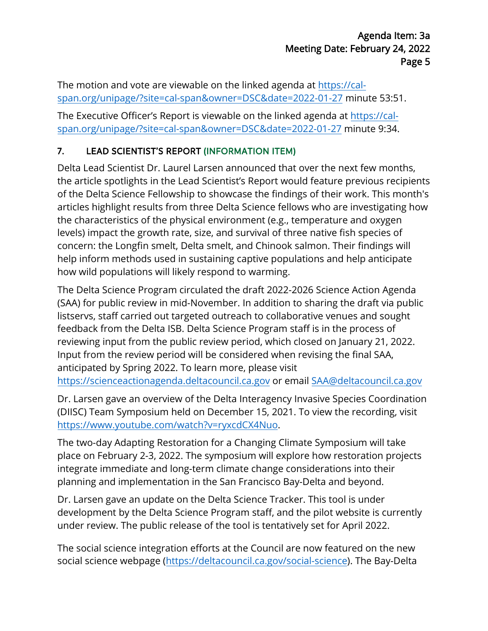The motion and vote are viewable on the linked agenda at<https://cal>span.org/unipage/?site=cal-span&owner=DSC&date=2022-01-27 minute 53:51.

The Executive Officer's Report is viewable on the linked agenda at <u><https://cal>-</u> span.org/unipage/?site=cal-span&owner=DSC&date=2022-01-27 minute 9:34.

## 7. LEAD SCIENTIST'S REPORT (INFORMATION ITEM)

 of the Delta Science Fellowship to showcase the findings of their work. This month's articles highlight results from three Delta Science fellows who are investigating how Delta Lead Scientist Dr. Laurel Larsen announced that over the next few months, the article spotlights in the Lead Scientist's Report would feature previous recipients the characteristics of the physical environment (e.g., temperature and oxygen levels) impact the growth rate, size, and survival of three native fish species of concern: the Longfin smelt, Delta smelt, and Chinook salmon. Their findings will help inform methods used in sustaining captive populations and help anticipate how wild populations will likely respond to warming.

 The Delta Science Program circulated the draft 2022-2026 Science Action Agenda (SAA) for public review in mid-November. In addition to sharing the draft via public listservs, staff carried out targeted outreach to collaborative venues and sought feedback from the Delta ISB. Delta Science Program staff is in the process of reviewing input from the public review period, which closed on January 21, 2022. Input from the review period will be considered when revising the final SAA, anticipated by Spring 2022. To learn more, please visit <https://scienceactionagenda.deltacouncil.ca.gov> or email [SAA@deltacouncil.ca.gov](mailto:SAA@deltacouncil.ca.gov) 

Dr. Larsen gave an overview of the Delta Interagency Invasive Species Coordination (DIISC) Team Symposium held on December 15, 2021. To view the recording, visit [https://www.youtube.com/watch?v=ryxcdCX4Nuo.](https://www.youtube.com/watch?v=ryxcdCX4Nuo)

 integrate immediate and long-term climate change considerations into their planning and implementation in the San Francisco Bay-Delta and beyond. The two-day Adapting Restoration for a Changing Climate Symposium will take place on February 2-3, 2022. The symposium will explore how restoration projects

 under review. The public release of the tool is tentatively set for April 2022. Dr. Larsen gave an update on the Delta Science Tracker. This tool is under development by the Delta Science Program staff, and the pilot website is currently

The social science integration efforts at the Council are now featured on the new social science webpage [\(https://deltacouncil.ca.gov/social-science\)](https://deltacouncil.ca.gov/social-science). The Bay-Delta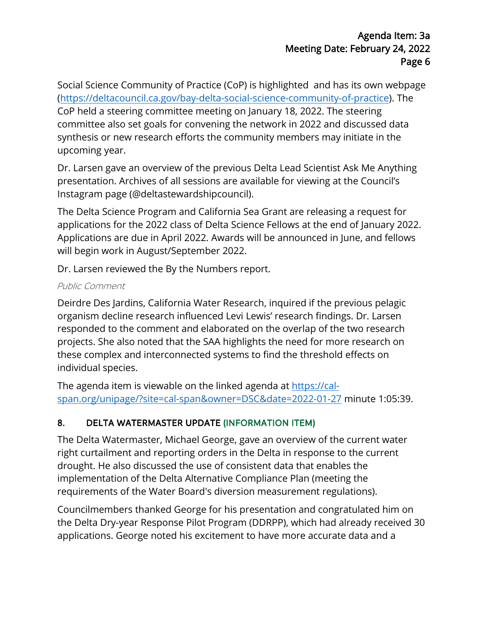Social Science Community of Practice (CoP) is highlighted and has its own webpage (https://deltacouncil.ca.gov/bay-delta-social-science-community-of-practice). The CoP held a steering committee meeting on January 18, 2022. The steering committee also set goals for convening the network in 2022 and discussed data synthesis or new research efforts the community members may initiate in the upcoming year.

Dr. Larsen gave an overview of the previous Delta Lead Scientist Ask Me Anything presentation. Archives of all sessions are available for viewing at the Council's Instagram page (@deltastewardshipcouncil).

The Delta Science Program and California Sea Grant are releasing a request for applications for the 2022 class of Delta Science Fellows at the end of January 2022. Applications are due in April 2022. Awards will be announced in June, and fellows will begin work in August/September 2022.

Dr. Larsen reviewed the By the Numbers report.

#### Public Comment

Deirdre Des Jardins, California Water Research, inquired if the previous pelagic organism decline research influenced Levi Lewis' research findings. Dr. Larsen responded to the comment and elaborated on the overlap of the two research projects. She also noted that the SAA highlights the need for more research on these complex and interconnected systems to find the threshold effects on individual species.

The agenda item is viewable on the linked agenda at https://calspan.org/unipage/?site=cal-span&owner=DSC&date=2022-01-27 minute 1:05:39.

#### 8. DELTA WATERMASTER UPDATE (INFORMATION ITEM)

 right curtailment and reporting orders in the Delta in response to the current The Delta Watermaster, Michael George, gave an overview of the current water drought. He also discussed the use of consistent data that enables the implementation of the Delta Alternative Compliance Plan (meeting the requirements of the Water Board's diversion measurement regulations).

 applications. George noted his excitement to have more accurate data and a Councilmembers thanked George for his presentation and congratulated him on the Delta Dry-year Response Pilot Program (DDRPP), which had already received 30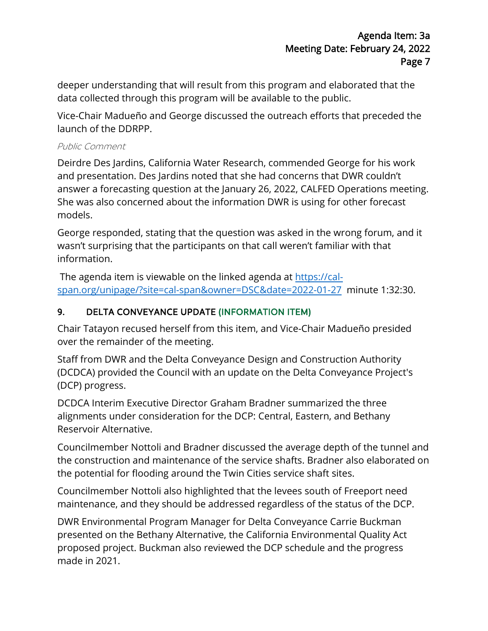deeper understanding that will result from this program and elaborated that the data collected through this program will be available to the public.

 Vice-Chair Madueño and George discussed the outreach efforts that preceded the launch of the DDRPP.

#### Public Comment

 answer a forecasting question at the January 26, 2022, CALFED Operations meeting. Deirdre Des Jardins, California Water Research, commended George for his work and presentation. Des Jardins noted that she had concerns that DWR couldn't She was also concerned about the information DWR is using for other forecast models.

 information. George responded, stating that the question was asked in the wrong forum, and it wasn't surprising that the participants on that call weren't familiar with that

 span.org/unipage/?site=cal-span&owner=DSC&date=2022-01-27 minute 1:32:30. The agenda item is viewable on the linked agenda at https://cal-

#### 9. DELTA CONVEYANCE UPDATE (INFORMATION ITEM)

Chair Tatayon recused herself from this item, and Vice-Chair Madueño presided over the remainder of the meeting.

 Staff from DWR and the Delta Conveyance Design and Construction Authority (DCDCA) provided the Council with an update on the Delta Conveyance Project's (DCP) progress.

 Reservoir Alternative. DCDCA Interim Executive Director Graham Bradner summarized the three alignments under consideration for the DCP: Central, Eastern, and Bethany

 the potential for flooding around the Twin Cities service shaft sites. Councilmember Nottoli and Bradner discussed the average depth of the tunnel and the construction and maintenance of the service shafts. Bradner also elaborated on

Councilmember Nottoli also highlighted that the levees south of Freeport need maintenance, and they should be addressed regardless of the status of the DCP.

DWR Environmental Program Manager for Delta Conveyance Carrie Buckman presented on the Bethany Alternative, the California Environmental Quality Act proposed project. Buckman also reviewed the DCP schedule and the progress made in 2021.